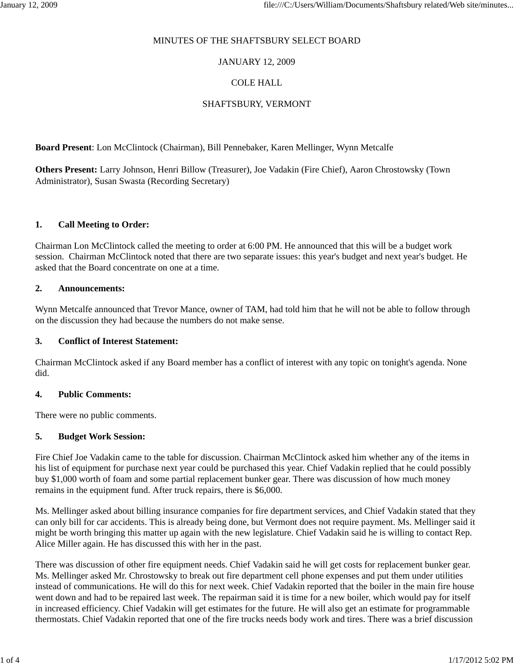### MINUTES OF THE SHAFTSBURY SELECT BOARD

## JANUARY 12, 2009

# COLE HALL

# SHAFTSBURY, VERMONT

**Board Present**: Lon McClintock (Chairman), Bill Pennebaker, Karen Mellinger, Wynn Metcalfe

**Others Present:** Larry Johnson, Henri Billow (Treasurer), Joe Vadakin (Fire Chief), Aaron Chrostowsky (Town Administrator), Susan Swasta (Recording Secretary)

### **1. Call Meeting to Order:**

Chairman Lon McClintock called the meeting to order at 6:00 PM. He announced that this will be a budget work session. Chairman McClintock noted that there are two separate issues: this year's budget and next year's budget. He asked that the Board concentrate on one at a time.

### **2. Announcements:**

Wynn Metcalfe announced that Trevor Mance, owner of TAM, had told him that he will not be able to follow through on the discussion they had because the numbers do not make sense.

## **3. Conflict of Interest Statement:**

Chairman McClintock asked if any Board member has a conflict of interest with any topic on tonight's agenda. None did.

#### **4. Public Comments:**

There were no public comments.

## **5. Budget Work Session:**

Fire Chief Joe Vadakin came to the table for discussion. Chairman McClintock asked him whether any of the items in his list of equipment for purchase next year could be purchased this year. Chief Vadakin replied that he could possibly buy \$1,000 worth of foam and some partial replacement bunker gear. There was discussion of how much money remains in the equipment fund. After truck repairs, there is \$6,000.

Ms. Mellinger asked about billing insurance companies for fire department services, and Chief Vadakin stated that they can only bill for car accidents. This is already being done, but Vermont does not require payment. Ms. Mellinger said it might be worth bringing this matter up again with the new legislature. Chief Vadakin said he is willing to contact Rep. Alice Miller again. He has discussed this with her in the past.

There was discussion of other fire equipment needs. Chief Vadakin said he will get costs for replacement bunker gear. Ms. Mellinger asked Mr. Chrostowsky to break out fire department cell phone expenses and put them under utilities instead of communications. He will do this for next week. Chief Vadakin reported that the boiler in the main fire house went down and had to be repaired last week. The repairman said it is time for a new boiler, which would pay for itself in increased efficiency. Chief Vadakin will get estimates for the future. He will also get an estimate for programmable thermostats. Chief Vadakin reported that one of the fire trucks needs body work and tires. There was a brief discussion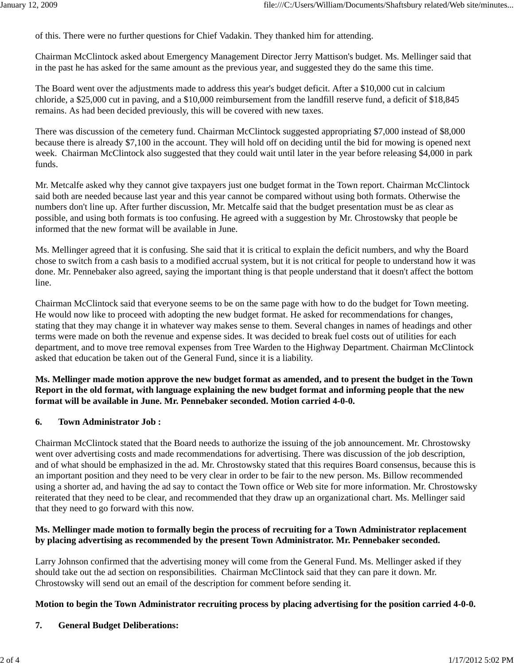of this. There were no further questions for Chief Vadakin. They thanked him for attending.

Chairman McClintock asked about Emergency Management Director Jerry Mattison's budget. Ms. Mellinger said that in the past he has asked for the same amount as the previous year, and suggested they do the same this time.

The Board went over the adjustments made to address this year's budget deficit. After a \$10,000 cut in calcium chloride, a \$25,000 cut in paving, and a \$10,000 reimbursement from the landfill reserve fund, a deficit of \$18,845 remains. As had been decided previously, this will be covered with new taxes.

There was discussion of the cemetery fund. Chairman McClintock suggested appropriating \$7,000 instead of \$8,000 because there is already \$7,100 in the account. They will hold off on deciding until the bid for mowing is opened next week. Chairman McClintock also suggested that they could wait until later in the year before releasing \$4,000 in park funds.

Mr. Metcalfe asked why they cannot give taxpayers just one budget format in the Town report. Chairman McClintock said both are needed because last year and this year cannot be compared without using both formats. Otherwise the numbers don't line up. After further discussion, Mr. Metcalfe said that the budget presentation must be as clear as possible, and using both formats is too confusing. He agreed with a suggestion by Mr. Chrostowsky that people be informed that the new format will be available in June.

Ms. Mellinger agreed that it is confusing. She said that it is critical to explain the deficit numbers, and why the Board chose to switch from a cash basis to a modified accrual system, but it is not critical for people to understand how it was done. Mr. Pennebaker also agreed, saying the important thing is that people understand that it doesn't affect the bottom line.

Chairman McClintock said that everyone seems to be on the same page with how to do the budget for Town meeting. He would now like to proceed with adopting the new budget format. He asked for recommendations for changes, stating that they may change it in whatever way makes sense to them. Several changes in names of headings and other terms were made on both the revenue and expense sides. It was decided to break fuel costs out of utilities for each department, and to move tree removal expenses from Tree Warden to the Highway Department. Chairman McClintock asked that education be taken out of the General Fund, since it is a liability.

# **Ms. Mellinger made motion approve the new budget format as amended, and to present the budget in the Town Report in the old format, with language explaining the new budget format and informing people that the new format will be available in June. Mr. Pennebaker seconded. Motion carried 4-0-0.**

## **6. Town Administrator Job :**

Chairman McClintock stated that the Board needs to authorize the issuing of the job announcement. Mr. Chrostowsky went over advertising costs and made recommendations for advertising. There was discussion of the job description, and of what should be emphasized in the ad. Mr. Chrostowsky stated that this requires Board consensus, because this is an important position and they need to be very clear in order to be fair to the new person. Ms. Billow recommended using a shorter ad, and having the ad say to contact the Town office or Web site for more information. Mr. Chrostowsky reiterated that they need to be clear, and recommended that they draw up an organizational chart. Ms. Mellinger said that they need to go forward with this now.

# **Ms. Mellinger made motion to formally begin the process of recruiting for a Town Administrator replacement by placing advertising as recommended by the present Town Administrator. Mr. Pennebaker seconded.**

Larry Johnson confirmed that the advertising money will come from the General Fund. Ms. Mellinger asked if they should take out the ad section on responsibilities. Chairman McClintock said that they can pare it down. Mr. Chrostowsky will send out an email of the description for comment before sending it.

## **Motion to begin the Town Administrator recruiting process by placing advertising for the position carried 4-0-0.**

**7. General Budget Deliberations:**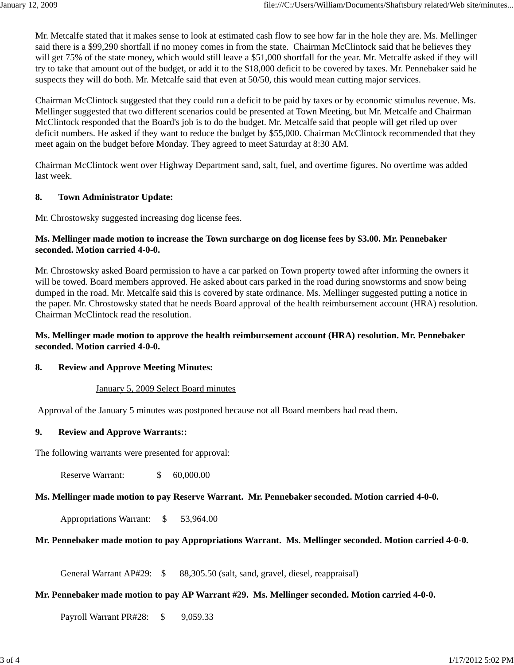Mr. Metcalfe stated that it makes sense to look at estimated cash flow to see how far in the hole they are. Ms. Mellinger said there is a \$99,290 shortfall if no money comes in from the state. Chairman McClintock said that he believes they will get 75% of the state money, which would still leave a \$51,000 shortfall for the year. Mr. Metcalfe asked if they will try to take that amount out of the budget, or add it to the \$18,000 deficit to be covered by taxes. Mr. Pennebaker said he suspects they will do both. Mr. Metcalfe said that even at 50/50, this would mean cutting major services.

Chairman McClintock suggested that they could run a deficit to be paid by taxes or by economic stimulus revenue. Ms. Mellinger suggested that two different scenarios could be presented at Town Meeting, but Mr. Metcalfe and Chairman McClintock responded that the Board's job is to do the budget. Mr. Metcalfe said that people will get riled up over deficit numbers. He asked if they want to reduce the budget by \$55,000. Chairman McClintock recommended that they meet again on the budget before Monday. They agreed to meet Saturday at 8:30 AM.

Chairman McClintock went over Highway Department sand, salt, fuel, and overtime figures. No overtime was added last week.

### **8. Town Administrator Update:**

Mr. Chrostowsky suggested increasing dog license fees.

## **Ms. Mellinger made motion to increase the Town surcharge on dog license fees by \$3.00. Mr. Pennebaker seconded. Motion carried 4-0-0.**

Mr. Chrostowsky asked Board permission to have a car parked on Town property towed after informing the owners it will be towed. Board members approved. He asked about cars parked in the road during snowstorms and snow being dumped in the road. Mr. Metcalfe said this is covered by state ordinance. Ms. Mellinger suggested putting a notice in the paper. Mr. Chrostowsky stated that he needs Board approval of the health reimbursement account (HRA) resolution. Chairman McClintock read the resolution.

## **Ms. Mellinger made motion to approve the health reimbursement account (HRA) resolution. Mr. Pennebaker seconded. Motion carried 4-0-0.**

## **8. Review and Approve Meeting Minutes:**

#### January 5, 2009 Select Board minutes

Approval of the January 5 minutes was postponed because not all Board members had read them.

#### **9. Review and Approve Warrants::**

The following warrants were presented for approval:

Reserve Warrant: \$ 60,000.00

#### **Ms. Mellinger made motion to pay Reserve Warrant. Mr. Pennebaker seconded. Motion carried 4-0-0.**

Appropriations Warrant: \$ 53,964.00

### **Mr. Pennebaker made motion to pay Appropriations Warrant. Ms. Mellinger seconded. Motion carried 4-0-0.**

General Warrant AP#29:  $\$88,305.50$  (salt, sand, gravel, diesel, reappraisal)

### **Mr. Pennebaker made motion to pay AP Warrant #29. Ms. Mellinger seconded. Motion carried 4-0-0.**

Payroll Warrant PR#28: \$9,059.33